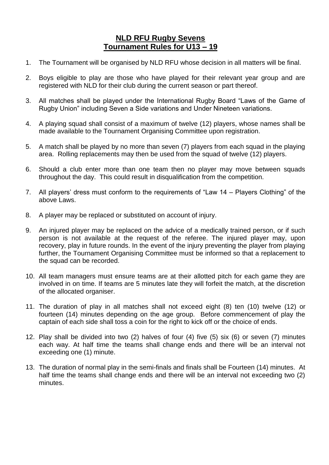## **NLD RFU Rugby Sevens Tournament Rules for U13 – 19**

- 1. The Tournament will be organised by NLD RFU whose decision in all matters will be final.
- 2. Boys eligible to play are those who have played for their relevant year group and are registered with NLD for their club during the current season or part thereof.
- 3. All matches shall be played under the International Rugby Board "Laws of the Game of Rugby Union" including Seven a Side variations and Under Nineteen variations.
- 4. A playing squad shall consist of a maximum of twelve (12) players, whose names shall be made available to the Tournament Organising Committee upon registration.
- 5. A match shall be played by no more than seven (7) players from each squad in the playing area. Rolling replacements may then be used from the squad of twelve (12) players.
- 6. Should a club enter more than one team then no player may move between squads throughout the day. This could result in disqualification from the competition.
- 7. All players' dress must conform to the requirements of "Law 14 Players Clothing" of the above Laws.
- 8. A player may be replaced or substituted on account of injury.
- 9. An injured player may be replaced on the advice of a medically trained person, or if such person is not available at the request of the referee. The injured player may, upon recovery, play in future rounds. In the event of the injury preventing the player from playing further, the Tournament Organising Committee must be informed so that a replacement to the squad can be recorded.
- 10. All team managers must ensure teams are at their allotted pitch for each game they are involved in on time. If teams are 5 minutes late they will forfeit the match, at the discretion of the allocated organiser.
- 11. The duration of play in all matches shall not exceed eight (8) ten (10) twelve (12) or fourteen (14) minutes depending on the age group. Before commencement of play the captain of each side shall toss a coin for the right to kick off or the choice of ends.
- 12. Play shall be divided into two (2) halves of four (4) five (5) six (6) or seven (7) minutes each way. At half time the teams shall change ends and there will be an interval not exceeding one (1) minute.
- 13. The duration of normal play in the semi-finals and finals shall be Fourteen (14) minutes. At half time the teams shall change ends and there will be an interval not exceeding two (2) minutes.